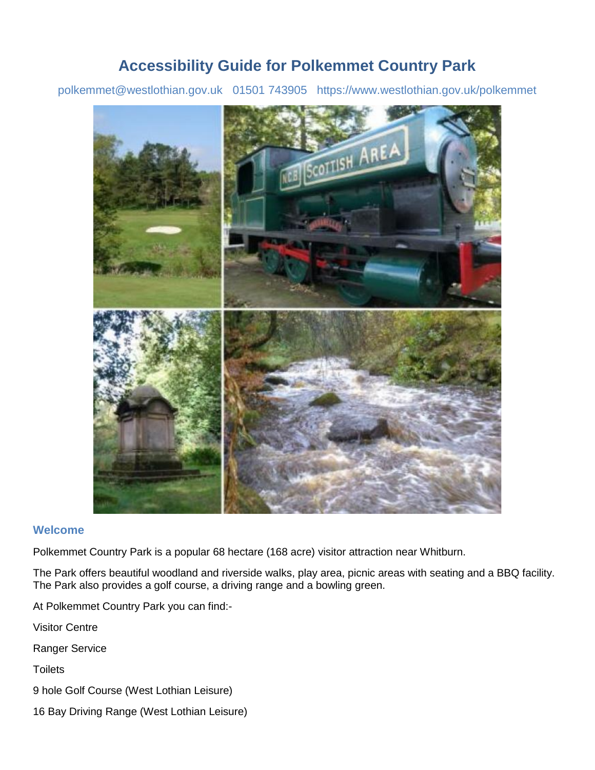### **Accessibility Guide for Polkemmet Country Park**

[polkemmet@westlothian.gov.uk](mailto:polkemmet@westlothian.gov.uk) [01501](tel:01501%20743905) 743905 <https://www.westlothian.gov.uk/polkemmet>



#### **Welcome**

Polkemmet Country Park is a popular 68 hectare (168 acre) visitor attraction near Whitburn.

The Park offers beautiful woodland and riverside walks, play area, picnic areas with seating and a BBQ facility. The Park also provides a golf course, a driving range and a bowling green.

At Polkemmet Country Park you can find:-

Visitor Centre

Ranger Service

**Toilets** 

9 hole Golf Course (West Lothian Leisure)

16 Bay Driving Range (West Lothian Leisure)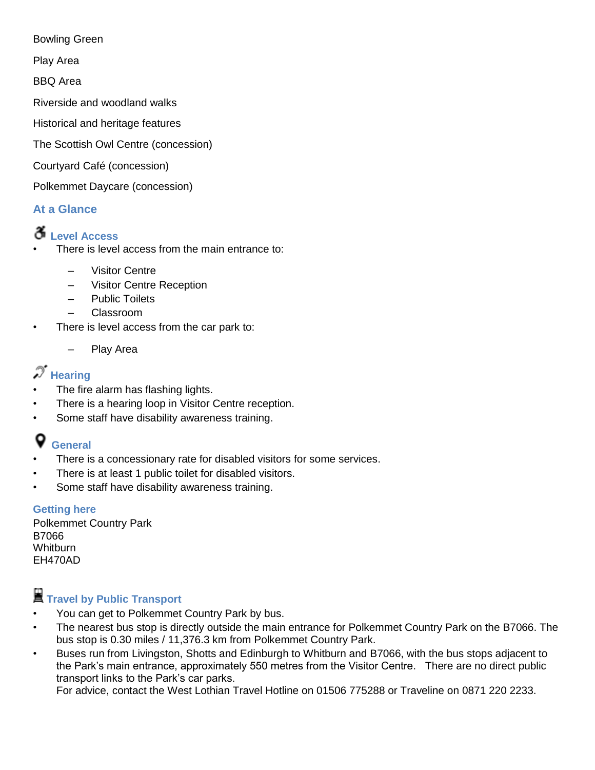Bowling Green

Play Area

BBQ Area

Riverside and woodland walks

Historical and heritage features

The Scottish Owl Centre (concession)

Courtyard Café (concession)

Polkemmet Daycare (concession)

#### **At a Glance**

### **Level Access**

There is level access from the main entrance to:

- Visitor Centre
- Visitor Centre Reception
- Public Toilets
- Classroom
- There is level access from the car park to:
	- Play Area

## $\mathscr{T}$  Hearing

- The fire alarm has flashing lights.
- There is a hearing loop in Visitor Centre reception.
- Some staff have disability awareness training.

#### Q **General**

- There is a concessionary rate for disabled visitors for some services.
- There is at least 1 public toilet for disabled visitors.
- Some staff have disability awareness training.

#### **Getting here**

Polkemmet Country Park B7066 Whitburn EH470AD

## **Travel by Public Transport**

- You can get to Polkemmet Country Park by bus.
- The nearest bus stop is directly outside the main entrance for Polkemmet Country Park on the B7066. The bus stop is 0.30 miles / 11,376.3 km from Polkemmet Country Park.
- Buses run from Livingston, Shotts and Edinburgh to Whitburn and B7066, with the bus stops adjacent to the Park's main entrance, approximately 550 metres from the Visitor Centre. There are no direct public transport links to the Park's car parks.

For advice, contact the West Lothian Travel Hotline on 01506 775288 or Traveline on 0871 220 2233.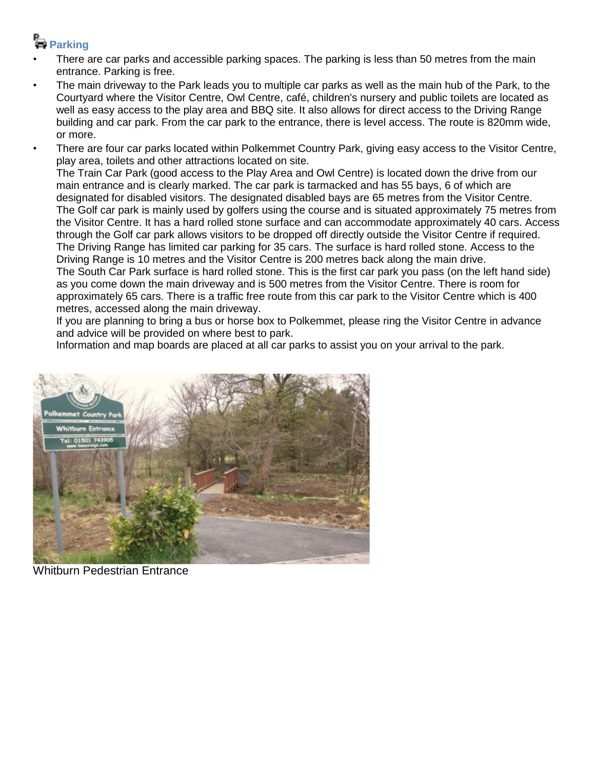## **Parking**

- There are car parks and accessible parking spaces. The parking is less than 50 metres from the main entrance. Parking is free.
- The main driveway to the Park leads you to multiple car parks as well as the main hub of the Park, to the Courtyard where the Visitor Centre, Owl Centre, café, children's nursery and public toilets are located as well as easy access to the play area and BBQ site. It also allows for direct access to the Driving Range building and car park. From the car park to the entrance, there is level access. The route is 820mm wide, or more.
- There are four car parks located within Polkemmet Country Park, giving easy access to the Visitor Centre, play area, toilets and other attractions located on site.

The Train Car Park (good access to the Play Area and Owl Centre) is located down the drive from our main entrance and is clearly marked. The car park is tarmacked and has 55 bays, 6 of which are designated for disabled visitors. The designated disabled bays are 65 metres from the Visitor Centre. The Golf car park is mainly used by golfers using the course and is situated approximately 75 metres from the Visitor Centre. It has a hard rolled stone surface and can accommodate approximately 40 cars. Access through the Golf car park allows visitors to be dropped off directly outside the Visitor Centre if required. The Driving Range has limited car parking for 35 cars. The surface is hard rolled stone. Access to the Driving Range is 10 metres and the Visitor Centre is 200 metres back along the main drive. The South Car Park surface is hard rolled stone. This is the first car park you pass (on the left hand side) as you come down the main driveway and is 500 metres from the Visitor Centre. There is room for approximately 65 cars. There is a traffic free route from this car park to the Visitor Centre which is 400 metres, accessed along the main driveway.

If you are planning to bring a bus or horse box to Polkemmet, please ring the Visitor Centre in advance and advice will be provided on where best to park.

Information and map boards are placed at all car parks to assist you on your arrival to the park.



Whitburn Pedestrian Entrance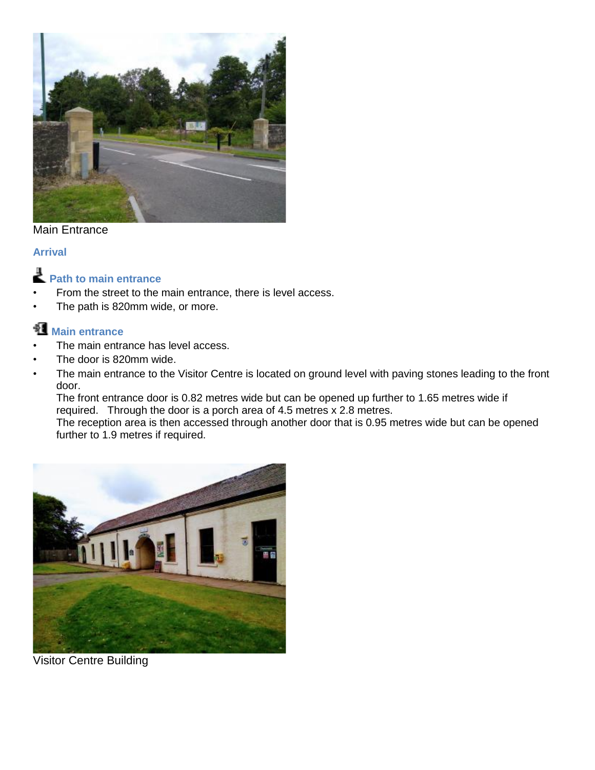

#### Main Entrance

#### **Arrival**



- From the street to the main entrance, there is level access.
- The path is 820mm wide, or more.

### **Main entrance**

- The main entrance has level access.
- The door is 820mm wide.
- The main entrance to the Visitor Centre is located on ground level with paving stones leading to the front door.

The front entrance door is 0.82 metres wide but can be opened up further to 1.65 metres wide if required. Through the door is a porch area of 4.5 metres x 2.8 metres.

The reception area is then accessed through another door that is 0.95 metres wide but can be opened further to 1.9 metres if required.



Visitor Centre Building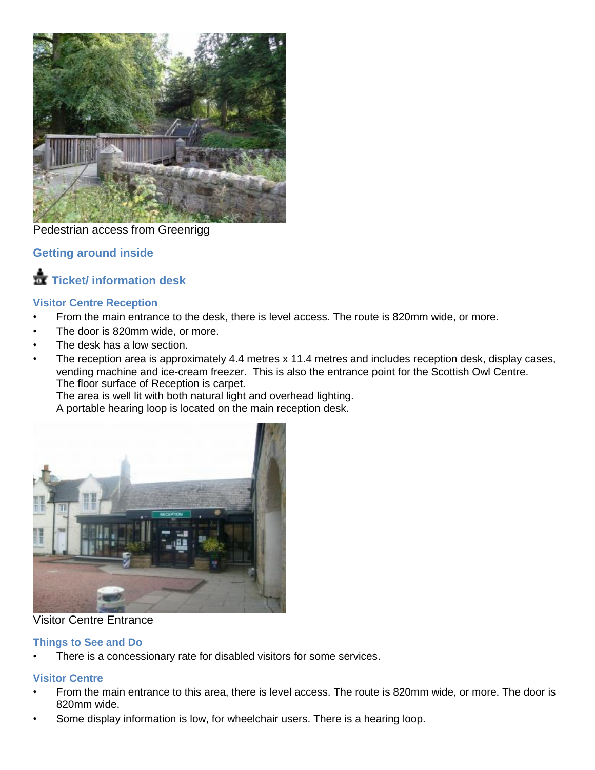

#### Pedestrian access from Greenrigg

#### **Getting around inside**

### **Ticket/ information desk**

#### **Visitor Centre Reception**

- From the main entrance to the desk, there is level access. The route is 820mm wide, or more.
- The door is 820mm wide, or more.
- The desk has a low section.
- The reception area is approximately 4.4 metres x 11.4 metres and includes reception desk, display cases, vending machine and ice-cream freezer. This is also the entrance point for the Scottish Owl Centre. The floor surface of Reception is carpet.

The area is well lit with both natural light and overhead lighting.

A portable hearing loop is located on the main reception desk.



#### Visitor Centre Entrance

#### **Things to See and Do**

There is a concessionary rate for disabled visitors for some services.

#### **Visitor Centre**

- From the main entrance to this area, there is level access. The route is 820mm wide, or more. The door is 820mm wide.
- Some display information is low, for wheelchair users. There is a hearing loop.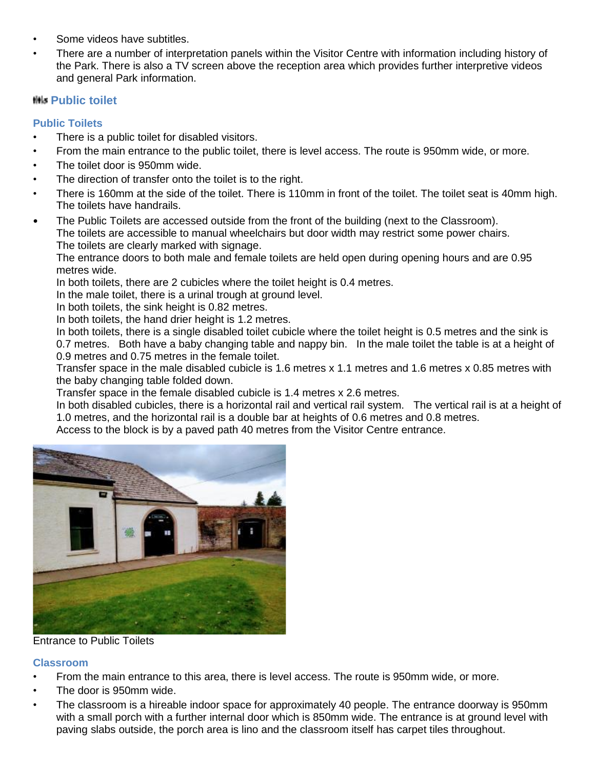- Some videos have subtitles.
- There are a number of interpretation panels within the Visitor Centre with information including history of the Park. There is also a TV screen above the reception area which provides further interpretive videos and general Park information.

#### **HHz Public toilet**

#### **Public Toilets**

- There is a public toilet for disabled visitors.
- From the main entrance to the public toilet, there is level access. The route is 950mm wide, or more.
- The toilet door is 950mm wide.
- The direction of transfer onto the toilet is to the right.
- There is 160mm at the side of the toilet. There is 110mm in front of the toilet. The toilet seat is 40mm high. The toilets have handrails.
- The Public Toilets are accessed outside from the front of the building (next to the Classroom). The toilets are accessible to manual wheelchairs but door width may restrict some power chairs. The toilets are clearly marked with signage.

The entrance doors to both male and female toilets are held open during opening hours and are 0.95 metres wide.

In both toilets, there are 2 cubicles where the toilet height is 0.4 metres.

In the male toilet, there is a urinal trough at ground level.

In both toilets, the sink height is 0.82 metres.

In both toilets, the hand drier height is 1.2 metres.

In both toilets, there is a single disabled toilet cubicle where the toilet height is 0.5 metres and the sink is 0.7 metres. Both have a baby changing table and nappy bin. In the male toilet the table is at a height of 0.9 metres and 0.75 metres in the female toilet.

Transfer space in the male disabled cubicle is 1.6 metres x 1.1 metres and 1.6 metres x 0.85 metres with the baby changing table folded down.

Transfer space in the female disabled cubicle is 1.4 metres x 2.6 metres.

In both disabled cubicles, there is a horizontal rail and vertical rail system. The vertical rail is at a height of 1.0 metres, and the horizontal rail is a double bar at heights of 0.6 metres and 0.8 metres.

Access to the block is by a paved path 40 metres from the Visitor Centre entrance.



Entrance to Public Toilets

#### **Classroom**

- From the main entrance to this area, there is level access. The route is 950mm wide, or more.
- The door is 950mm wide.
- The classroom is a hireable indoor space for approximately 40 people. The entrance doorway is 950mm with a small porch with a further internal door which is 850mm wide. The entrance is at ground level with paving slabs outside, the porch area is lino and the classroom itself has carpet tiles throughout.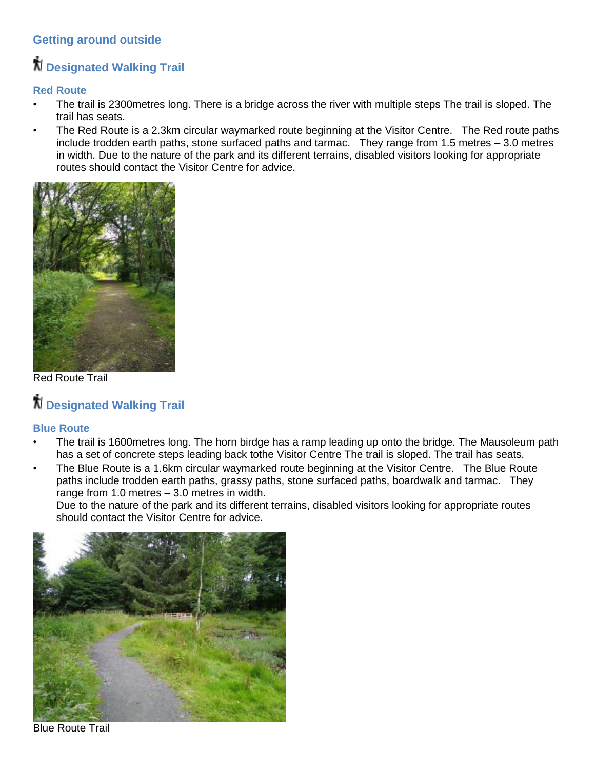### **Getting around outside**

## **Designated Walking Trail**

### **Red Route**

- The trail is 2300metres long. There is a bridge across the river with multiple steps The trail is sloped. The trail has seats.
- The Red Route is a 2.3km circular waymarked route beginning at the Visitor Centre. The Red route paths include trodden earth paths, stone surfaced paths and tarmac. They range from 1.5 metres – 3.0 metres in width. Due to the nature of the park and its different terrains, disabled visitors looking for appropriate routes should contact the Visitor Centre for advice.



Red Route Trail

# **Designated Walking Trail**

#### **Blue Route**

- The trail is 1600 metres long. The horn birdge has a ramp leading up onto the bridge. The Mausoleum path has a set of concrete steps leading back tothe Visitor Centre The trail is sloped. The trail has seats.
- The Blue Route is a 1.6km circular waymarked route beginning at the Visitor Centre. The Blue Route paths include trodden earth paths, grassy paths, stone surfaced paths, boardwalk and tarmac. They range from 1.0 metres – 3.0 metres in width.

Due to the nature of the park and its different terrains, disabled visitors looking for appropriate routes should contact the Visitor Centre for advice.



Blue Route Trail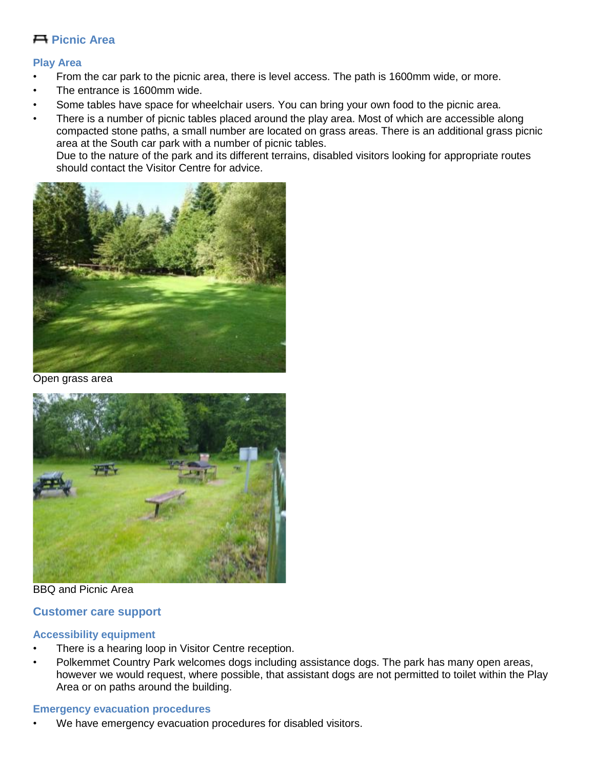#### **Picnic Area**

#### **Play Area**

- From the car park to the picnic area, there is level access. The path is 1600mm wide, or more.
- The entrance is 1600mm wide.
- Some tables have space for wheelchair users. You can bring your own food to the picnic area.
- There is a number of picnic tables placed around the play area. Most of which are accessible along compacted stone paths, a small number are located on grass areas. There is an additional grass picnic area at the South car park with a number of picnic tables. Due to the nature of the park and its different terrains, disabled visitors looking for appropriate routes

should contact the Visitor Centre for advice.



Open grass area



BBQ and Picnic Area

#### **Customer care support**

#### **Accessibility equipment**

- There is a hearing loop in Visitor Centre reception.
- Polkemmet Country Park welcomes dogs including assistance dogs. The park has many open areas, however we would request, where possible, that assistant dogs are not permitted to toilet within the Play Area or on paths around the building.

#### **Emergency evacuation procedures**

We have emergency evacuation procedures for disabled visitors.